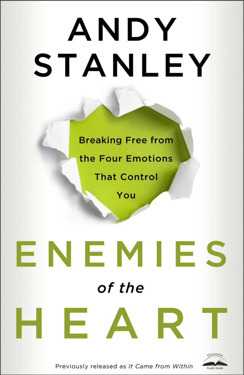# ANDY **STANLEY**

**Breaking Free from** 

the Four Emotions

**That Control** 

You





Previously released as It Came from Within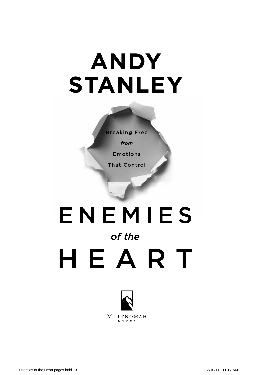## **ANDY STANLEY**

| <b>Breaking Free</b> |  |
|----------------------|--|
| from                 |  |
| <b>Emotions</b>      |  |
| <b>That Control</b>  |  |

# **ENEMIES** *of the* H E A R T



B O O K S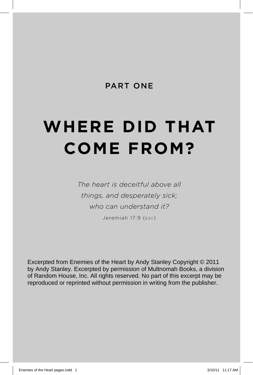#### part one

### **where did that come from?**

*The heart is deceitful above all things, and desperately sick; who can understand it?* Jeremiah 17:9 (ESV)

Excerpted from Enemies of the Heart by Andy Stanley Copyright © 2011 by Andy Stanley. Excerpted by permission of Multnomah Books, a division of Random House, Inc. All rights reserved. No part of this excerpt may be reproduced or reprinted without permission in writing from the publisher.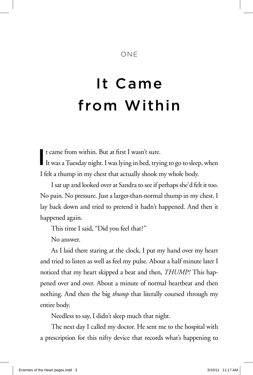### It Came from Within

It came from within. But at first I wasn't sure.<br>It was a Tuesday night. I was lying in bed, trying to go to sleep, when t came from within. But at first I wasn't sure. I felt a thump in my chest that actually shook my whole body.

I sat up and looked over at Sandra to see if perhaps she'd felt it too. No pain. No pressure. Just a larger-than-normal thump in my chest. I lay back down and tried to pretend it hadn't happened. And then it happened again.

This time I said, "Did you feel that?"

No answer.

As I laid there staring at the clock, I put my hand over my heart and tried to listen as well as feel my pulse. About a half minute later I noticed that my heart skipped a beat and then, *THUMP!* This happened over and over. About a minute of normal heartbeat and then nothing. And then the big *thump* that literally coursed through my entire body.

Needless to say, I didn't sleep much that night.

The next day I called my doctor. He sent me to the hospital with a prescription for this nifty device that records what's happening to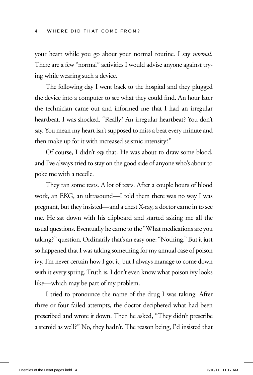your heart while you go about your normal routine. I say *normal.* There are a few "normal" activities I would advise anyone against trying while wearing such a device.

The following day I went back to the hospital and they plugged the device into a computer to see what they could find. An hour later the technician came out and informed me that I had an irregular heartbeat. I was shocked. "Really? An irregular heartbeat? You don't say. You mean my heart isn't supposed to miss a beat every minute and then make up for it with increased seismic intensity?"

Of course, I didn't *say* that. He was about to draw some blood, and I've always tried to stay on the good side of anyone who's about to poke me with a needle.

They ran some tests. A lot of tests. After a couple hours of blood work, an EKG, an ultrasound—I told them there was no way I was pregnant, but they insisted—and a chest X-ray, a doctor came in to see me. He sat down with his clipboard and started asking me all the usual questions. Eventually he came to the "What medications are you taking?" question. Ordinarily that's an easy one: "Nothing." But it just so happened that I was taking something for my annual case of poison ivy. I'm never certain how I got it, but I always manage to come down with it every spring. Truth is, I don't even know what poison ivy looks like—which may be part of my problem.

I tried to pronounce the name of the drug I was taking. After three or four failed attempts, the doctor deciphered what had been prescribed and wrote it down. Then he asked, "They didn't prescribe a steroid as well?" No, they hadn't. The reason being, I'd insisted that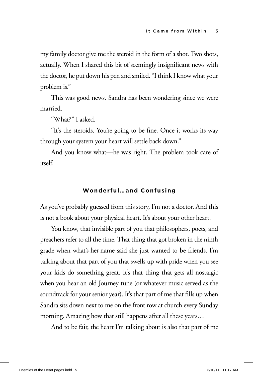my family doctor give me the steroid in the form of a shot. Two shots, actually. When I shared this bit of seemingly insignificant news with the doctor, he put down his pen and smiled. "I think I know what your problem is."

This was good news. Sandra has been wondering since we were married.

"What?" I asked.

"It's the steroids. You're going to be fine. Once it works its way through your system your heart will settle back down."

And you know what—he was right. The problem took care of itself.

#### **Wonderful…and Confusing**

As you've probably guessed from this story, I'm not a doctor. And this is not a book about your physical heart. It's about your other heart.

You know, that invisible part of you that philosophers, poets, and preachers refer to all the time. That thing that got broken in the ninth grade when what's-her-name said she just wanted to be friends. I'm talking about that part of you that swells up with pride when you see your kids do something great. It's that thing that gets all nostalgic when you hear an old Journey tune (or whatever music served as the soundtrack for your senior year). It's that part of me that fills up when Sandra sits down next to me on the front row at church every Sunday morning. Amazing how that still happens after all these years…

And to be fair, the heart I'm talking about is also that part of me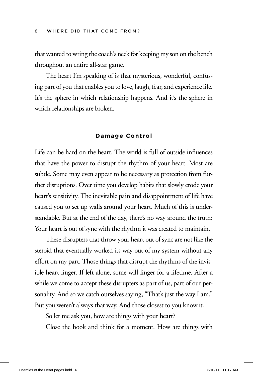that wanted to wring the coach's neck for keeping my son on the bench throughout an entire all-star game.

The heart I'm speaking of is that mysterious, wonderful, confusing part of you that enables you to love, laugh, fear, and experience life. It's the sphere in which relationship happens. And it's the sphere in which relationships are broken.

#### **Damage Control**

Life can be hard on the heart. The world is full of outside influences that have the power to disrupt the rhythm of your heart. Most are subtle. Some may even appear to be necessary as protection from further disruptions. Over time you develop habits that slowly erode your heart's sensitivity. The inevitable pain and disappointment of life have caused you to set up walls around your heart. Much of this is understandable. But at the end of the day, there's no way around the truth: Your heart is out of sync with the rhythm it was created to maintain.

These disrupters that throw your heart out of sync are not like the steroid that eventually worked its way out of my system without any effort on my part. Those things that disrupt the rhythms of the invisible heart linger. If left alone, some will linger for a lifetime. After a while we come to accept these disrupters as part of us, part of our personality. And so we catch ourselves saying, "That's just the way I am." But you weren't always that way. And those closest to you know it.

So let me ask you, how are things with your heart?

Close the book and think for a moment. How are things with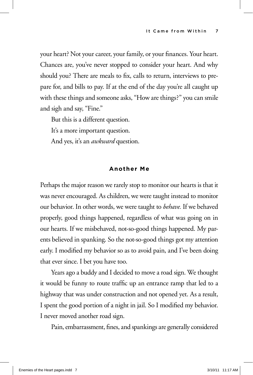your heart? Not your career, your family, or your finances. Your heart. Chances are, you've never stopped to consider your heart. And why should you? There are meals to fix, calls to return, interviews to prepare for, and bills to pay. If at the end of the day you're all caught up with these things and someone asks, "How are things?" you can smile and sigh and say, "Fine."

But this is a different question.

It's a more important question.

And yes, it's an *awkward* question.

#### **Another Me**

Perhaps the major reason we rarely stop to monitor our hearts is that it was never encouraged. As children, we were taught instead to monitor our behavior. In other words, we were taught to *behave.* If we behaved properly, good things happened, regardless of what was going on in our hearts. If we misbehaved, not-so-good things happened. My parents believed in spanking. So the not-so-good things got my attention early. I modified my behavior so as to avoid pain, and I've been doing that ever since. I bet you have too.

Years ago a buddy and I decided to move a road sign. We thought it would be funny to route traffic up an entrance ramp that led to a highway that was under construction and not opened yet. As a result, I spent the good portion of a night in jail. So I modified my behavior. I never moved another road sign.

Pain, embarrassment, fines, and spankings are generally considered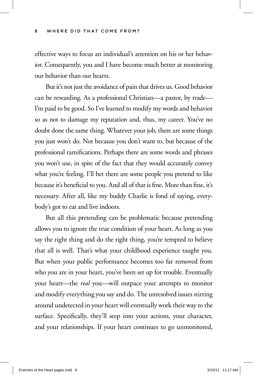effective ways to focus an individual's attention on his or her behavior. Consequently, you and I have become much better at monitoring our behavior than our hearts.

But it's not just the avoidance of pain that drives us. Good behavior can be rewarding. As a professional Christian—a pastor, by trade— I'm paid to be good. So I've learned to modify my words and behavior so as not to damage my reputation and, thus, my career. You've no doubt done the same thing. Whatever your job, there are some things you just won't do. Not because you don't want to, but because of the professional ramifications. Perhaps there are some words and phrases you won't use, in spite of the fact that they would accurately convey what you're feeling. I'll bet there are some people you pretend to like because it's beneficial to you. And all of that is fine. More than fine, it's necessary. After all, like my buddy Charlie is fond of saying, everybody's got to eat and live indoors.

But all this pretending can be problematic because pretending allows you to ignore the true condition of your heart. As long as you say the right thing and do the right thing, you're tempted to believe that all is well. That's what your childhood experience taught you. But when your public performance becomes too far removed from who you are in your heart, you've been set up for trouble. Eventually your heart—the *real* you—will outpace your attempts to monitor and modify everything you say and do. The unresolved issues stirring around undetected in your heart will eventually work their way to the surface. Specifically, they'll seep into your actions, your character, and your relationships. If your heart continues to go unmonitored,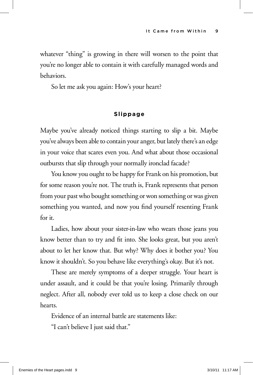whatever "thing" is growing in there will worsen to the point that you're no longer able to contain it with carefully managed words and behaviors.

So let me ask you again: How's your heart?

#### **Slippage**

Maybe you've already noticed things starting to slip a bit. Maybe you've always been able to contain your anger, but lately there's an edge in your voice that scares even you. And what about those occasional outbursts that slip through your normally ironclad facade?

You know you ought to be happy for Frank on his promotion, but for some reason you're not. The truth is, Frank represents that person from your past who bought something or won something or was given something you wanted, and now you find yourself resenting Frank for it.

Ladies, how about your sister-in-law who wears those jeans you know better than to try and fit into. She looks great, but you aren't about to let her know that. But why? Why does it bother you? You know it shouldn't. So you behave like everything's okay. But it's not.

These are merely symptoms of a deeper struggle. Your heart is under assault, and it could be that you're losing. Primarily through neglect. After all, nobody ever told us to keep a close check on our hearts.

Evidence of an internal battle are statements like:

"I can't believe I just said that."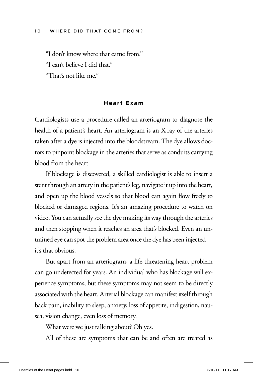"I don't know where that came from." "I can't believe I did that." "That's not like me."

#### **Heart Exam**

Cardiologists use a procedure called an arteriogram to diagnose the health of a patient's heart. An arteriogram is an X-ray of the arteries taken after a dye is injected into the bloodstream. The dye allows doctors to pinpoint blockage in the arteries that serve as conduits carrying blood from the heart.

If blockage is discovered, a skilled cardiologist is able to insert a stent through an artery in the patient's leg, navigate it up into the heart, and open up the blood vessels so that blood can again flow freely to blocked or damaged regions. It's an amazing procedure to watch on video. You can actually see the dye making its way through the arteries and then stopping when it reaches an area that's blocked. Even an untrained eye can spot the problem area once the dye has been injected it's that obvious.

But apart from an arteriogram, a life-threatening heart problem can go undetected for years. An individual who has blockage will experience symptoms, but these symptoms may not seem to be directly associated with the heart. Arterial blockage can manifest itself through back pain, inability to sleep, anxiety, loss of appetite, indigestion, nausea, vision change, even loss of memory.

What were we just talking about? Oh yes.

All of these are symptoms that can be and often are treated as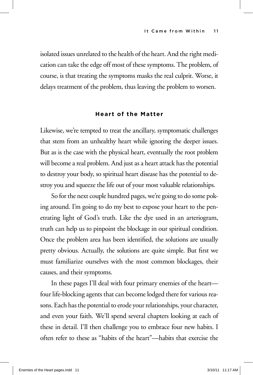isolated issues unrelated to the health of the heart. And the right medication can take the edge off most of these symptoms. The problem, of course, is that treating the symptoms masks the real culprit. Worse, it delays treatment of the problem, thus leaving the problem to worsen.

#### **Heart of the Matter**

Likewise, we're tempted to treat the ancillary, symptomatic challenges that stem from an unhealthy heart while ignoring the deeper issues. But as is the case with the physical heart, eventually the root problem will become a real problem. And just as a heart attack has the potential to destroy your body, so spiritual heart disease has the potential to destroy you and squeeze the life out of your most valuable relationships.

So for the next couple hundred pages, we're going to do some poking around. I'm going to do my best to expose your heart to the penetrating light of God's truth. Like the dye used in an arteriogram, truth can help us to pinpoint the blockage in our spiritual condition. Once the problem area has been identified, the solutions are usually pretty obvious. Actually, the solutions are quite simple. But first we must familiarize ourselves with the most common blockages, their causes, and their symptoms.

In these pages I'll deal with four primary enemies of the heart four life-blocking agents that can become lodged there for various reasons. Each has the potential to erode your relationships, your character, and even your faith. We'll spend several chapters looking at each of these in detail. I'll then challenge you to embrace four new habits. I often refer to these as "habits of the heart"—habits that exercise the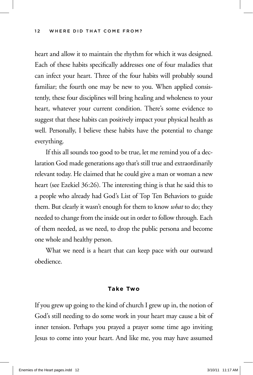heart and allow it to maintain the rhythm for which it was designed. Each of these habits specifically addresses one of four maladies that can infect your heart. Three of the four habits will probably sound familiar; the fourth one may be new to you. When applied consistently, these four disciplines will bring healing and wholeness to your heart, whatever your current condition. There's some evidence to suggest that these habits can positively impact your physical health as well. Personally, I believe these habits have the potential to change everything.

If this all sounds too good to be true, let me remind you of a declaration God made generations ago that's still true and extraordinarily relevant today. He claimed that he could give a man or woman a new heart (see Ezekiel 36:26). The interesting thing is that he said this to a people who already had God's List of Top Ten Behaviors to guide them. But clearly it wasn't enough for them to know *what* to do; they needed to change from the inside out in order to follow through. Each of them needed, as we need, to drop the public persona and become one whole and healthy person.

What we need is a heart that can keep pace with our outward obedience.

#### **Take Two**

If you grew up going to the kind of church I grew up in, the notion of God's still needing to do some work in your heart may cause a bit of inner tension. Perhaps you prayed a prayer some time ago inviting Jesus to come into your heart. And like me, you may have assumed